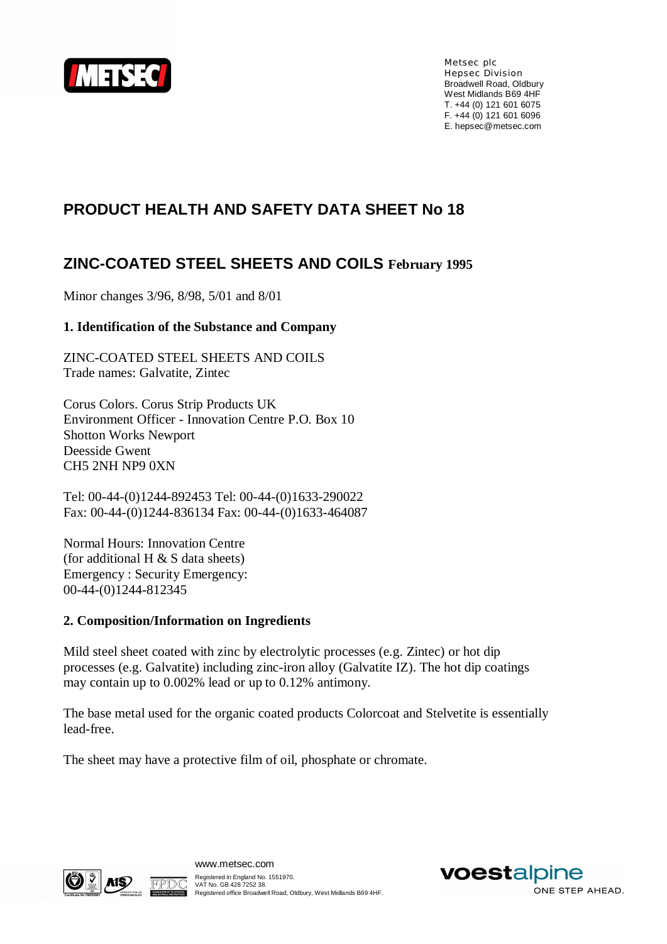

Metsec plc Hepsec Division Broadwell Road, Oldbury West Midlands B69 4HF T. +44 (0) 121 601 6075 F. +44 (0) 121 601 6096 E. [hepsec@metsec.com](mailto:hepsec@metsec.com)

# **PRODUCT HEALTH AND SAFETY DATA SHEET No 18**

# **ZINC-COATED STEEL SHEETS AND COILS February 1995**

Minor changes 3/96, 8/98, 5/01 and 8/01

#### **1. Identification of the Substance and Company**

ZINC-COATED STEEL SHEETS AND COILS Trade names: Galvatite, Zintec

Corus Colors. Corus Strip Products UK Environment Officer - Innovation Centre P.O. Box 10 Shotton Works Newport Deesside Gwent CH5 2NH NP9 0XN

Tel: 00-44-(0)1244-892453 Tel: 00-44-(0)1633-290022 Fax: 00-44-(0)1244-836134 Fax: 00-44-(0)1633-464087

Normal Hours: Innovation Centre (for additional H  $&$  S data sheets) Emergency : Security Emergency: 00-44-(0)1244-812345

#### **2. Composition/Information on Ingredients**

Mild steel sheet coated with zinc by electrolytic processes (e.g. Zintec) or hot dip processes (e.g. Galvatite) including zinc-iron alloy (Galvatite IZ). The hot dip coatings may contain up to 0.002% lead or up to 0.12% antimony.

The base metal used for the organic coated products Colorcoat and Stelvetite is essentially lead-free.

The sheet may have a protective film of oil, phosphate or chromate.



FPDA

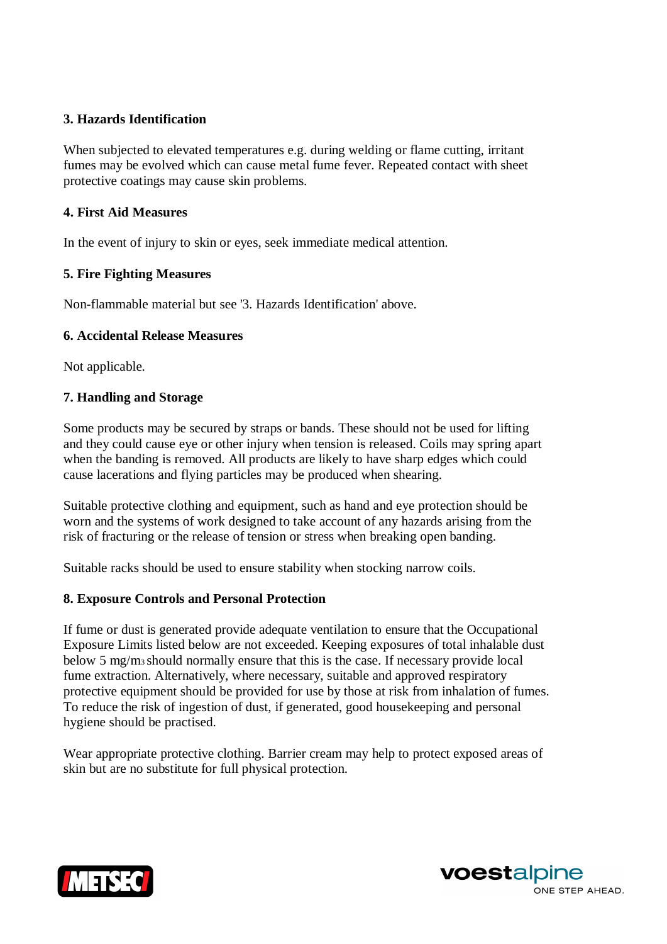### **3. Hazards Identification**

When subjected to elevated temperatures e.g. during welding or flame cutting, irritant fumes may be evolved which can cause metal fume fever. Repeated contact with sheet protective coatings may cause skin problems.

### **4. First Aid Measures**

In the event of injury to skin or eyes, seek immediate medical attention.

## **5. Fire Fighting Measures**

Non-flammable material but see '3. Hazards Identification' above.

## **6. Accidental Release Measures**

Not applicable.

## **7. Handling and Storage**

Some products may be secured by straps or bands. These should not be used for lifting and they could cause eye or other injury when tension is released. Coils may spring apart when the banding is removed. All products are likely to have sharp edges which could cause lacerations and flying particles may be produced when shearing.

Suitable protective clothing and equipment, such as hand and eye protection should be worn and the systems of work designed to take account of any hazards arising from the risk of fracturing or the release of tension or stress when breaking open banding.

Suitable racks should be used to ensure stability when stocking narrow coils.

#### **8. Exposure Controls and Personal Protection**

If fume or dust is generated provide adequate ventilation to ensure that the Occupational Exposure Limits listed below are not exceeded. Keeping exposures of total inhalable dust below 5 mg/m<sup>3</sup> should normally ensure that this is the case. If necessary provide local fume extraction. Alternatively, where necessary, suitable and approved respiratory protective equipment should be provided for use by those at risk from inhalation of fumes. To reduce the risk of ingestion of dust, if generated, good housekeeping and personal hygiene should be practised.

Wear appropriate protective clothing. Barrier cream may help to protect exposed areas of skin but are no substitute for full physical protection.



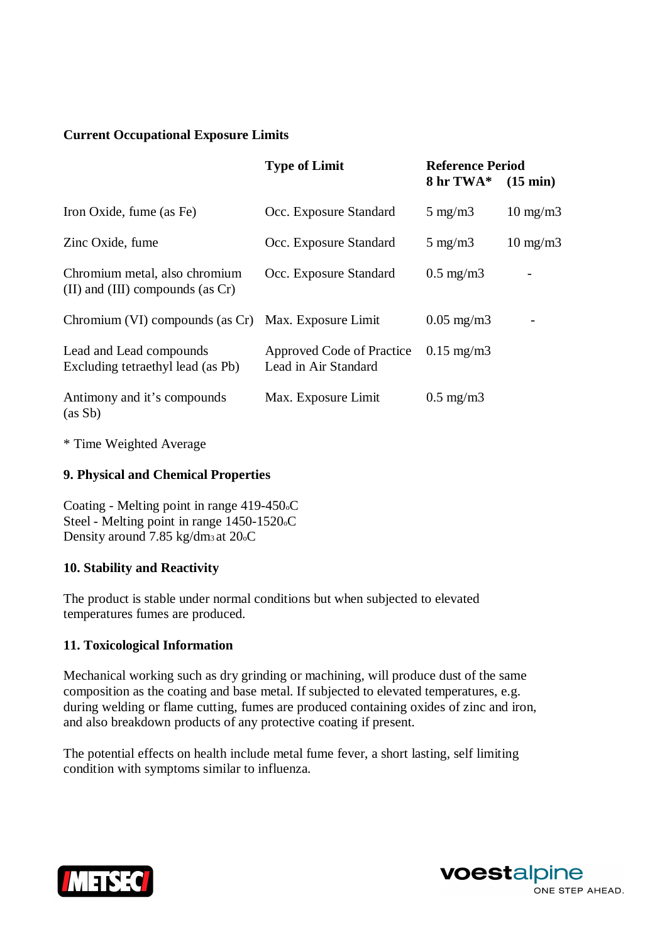### **Current Occupational Exposure Limits**

|                                                                          | <b>Type of Limit</b>                              | <b>Reference Period</b><br>$8 \text{ hr} \text{ T} \text{W} \text{A}^* \quad (15 \text{ min})$ |                   |
|--------------------------------------------------------------------------|---------------------------------------------------|------------------------------------------------------------------------------------------------|-------------------|
| Iron Oxide, fume (as Fe)                                                 | Occ. Exposure Standard                            | $5 \text{ mg/m}$                                                                               | $10 \text{ mg/m}$ |
| Zinc Oxide, fume                                                         | Occ. Exposure Standard                            | $5 \text{ mg/m}$                                                                               | $10 \text{ mg/m}$ |
| Chromium metal, also chromium<br>$(II)$ and $(III)$ compounds (as $Cr$ ) | Occ. Exposure Standard                            | $0.5 \text{ mg/m}$                                                                             |                   |
| Chromium (VI) compounds (as Cr) Max. Exposure Limit                      |                                                   | $0.05 \text{ mg/m}$ 3                                                                          |                   |
| Lead and Lead compounds<br>Excluding tetraethyl lead (as Pb)             | Approved Code of Practice<br>Lead in Air Standard | $0.15 \text{ mg/m}$                                                                            |                   |
| Antimony and it's compounds<br>(as Sb)                                   | Max. Exposure Limit                               | $0.5 \text{ mg/m}$                                                                             |                   |

\* Time Weighted Average

#### **9. Physical and Chemical Properties**

Coating - Melting point in range 419-450oC Steel - Melting point in range 1450-1520oC Density around 7.85 kg/dm<sup>3</sup> at 20oC

#### **10. Stability and Reactivity**

The product is stable under normal conditions but when subjected to elevated temperatures fumes are produced.

#### **11. Toxicological Information**

Mechanical working such as dry grinding or machining, will produce dust of the same composition as the coating and base metal. If subjected to elevated temperatures, e.g. during welding or flame cutting, fumes are produced containing oxides of zinc and iron, and also breakdown products of any protective coating if present.

The potential effects on health include metal fume fever, a short lasting, self limiting condition with symptoms similar to influenza.